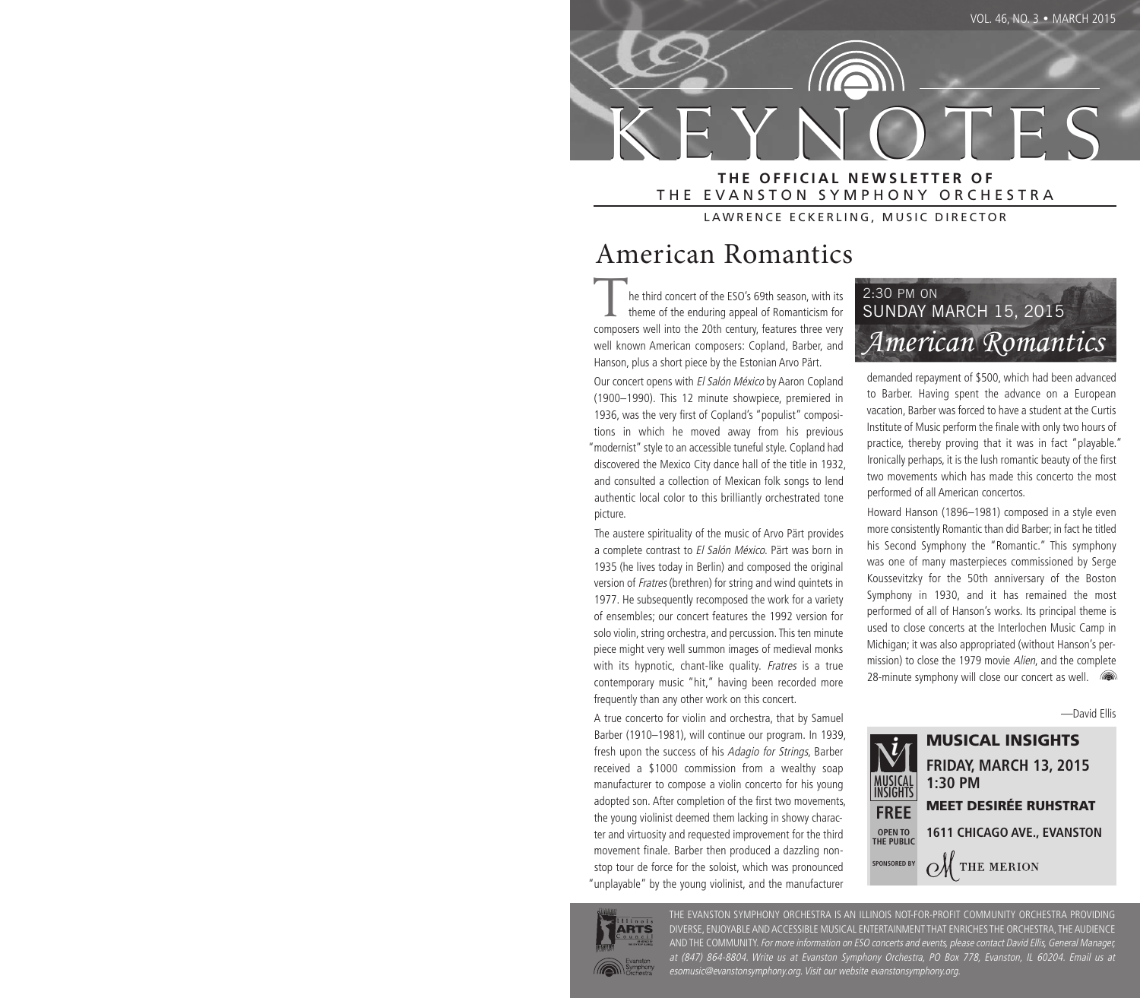

#### **THE OFFICIAL NEWSLETTER OF** THE EVANSTON SYMPHONY ORCHESTRA

LAWRENCE ECKERLING, MUSIC DIRECTOR

# American Romantics

he third concert of the ESO's 69th season, with its theme of the enduring appeal of Romanticism for composers well into the 20th century, features three very well known American composers: Copland, Barber, and Hanson, plus a short piece by the Estonian Arvo Pärt.

Our concert opens with El Salón México by Aaron Copland (1900–1990). This 12 minute showpiece, premiered in 1936, was the very first of Copland's "populist" compositions in which he moved away from his previous "modernist" style to an accessible tuneful style. Copland had discovered the Mexico City dance hall of the title in 1932, and consulted a collection of Mexican folk songs to lend authentic local color to this brilliantly orchestrated tone picture.

The austere spirituality of the music of Arvo Pärt provides a complete contrast to El Salón México. Pärt was born in 1935 (he lives today in Berlin) and composed the original version of Fratres (brethren) for string and wind quintets in 1977. He subsequently recomposed the work for a variety of ensembles; our concert features the 1992 version for solo violin, string orchestra, and percussion. This ten minute piece might very well summon images of medieval monks with its hypnotic, chant-like quality. Fratres is a true contemporary music "hit," having been recorded more frequently than any other work on this concert.

A true concerto for violin and orchestra, that by Samuel Barber (1910–1981), will continue our program. In 1939, fresh upon the success of his Adagio for Strings, Barber received a \$1000 commission from a wealthy soap manufacturer to compose a violin concerto for his young adopted son. After completion of the first two movements, the young violinist deemed them lacking in showy character and virtuosity and requested improvement for the third movement finale. Barber then produced a dazzling nonstop tour de force for the soloist, which was pronounced "unplayable" by the young violinist, and the manufacturer



demanded repayment of \$500, which had been advanced to Barber. Having spent the advance on a European vacation, Barber was forced to have a student at the Curtis Institute of Music perform the finale with only two hours of practice, thereby proving that it was in fact "playable." Ironically perhaps, it is the lush romantic beauty of the first two movements which has made this concerto the most performed of all American concertos.

Howard Hanson (1896–1981) composed in a style even more consistently Romantic than did Barber; in fact he titled his Second Symphony the "Romantic." This symphony was one of many masterpieces commissioned by Serge Koussevitzky for the 50th anniversary of the Boston Symphony in 1930, and it has remained the most performed of all of Hanson's works. Its principal theme is used to close concerts at the Interlochen Music Camp in Michigan; it was also appropriated (without Hanson's permission) to close the 1979 movie Alien, and the complete 28-minute symphony will close our concert as well.  $\blacksquare$ 

—David Ellis





THE EVANSTON SYMPHONY ORCHESTRA IS AN ILLINOIS NOT-FOR-PROFIT COMMUNITY ORCHESTRA PROVIDING DIVERSE, ENJOYABLE AND ACCESSIBLE MUSICAL ENTERTAINMENT THAT ENRICHES THE ORCHESTRA, THE AUDIENCE AND THE COMMUNITY. For more information on ESO concerts and events, please contact David Ellis, General Manager, at (847) 864-8804. Write us at Evanston Symphony Orchestra, PO Box 778, Evanston, IL 60204. Email us at esomusic@evanstonsymphony.org. Visit our website evanstonsymphony.org.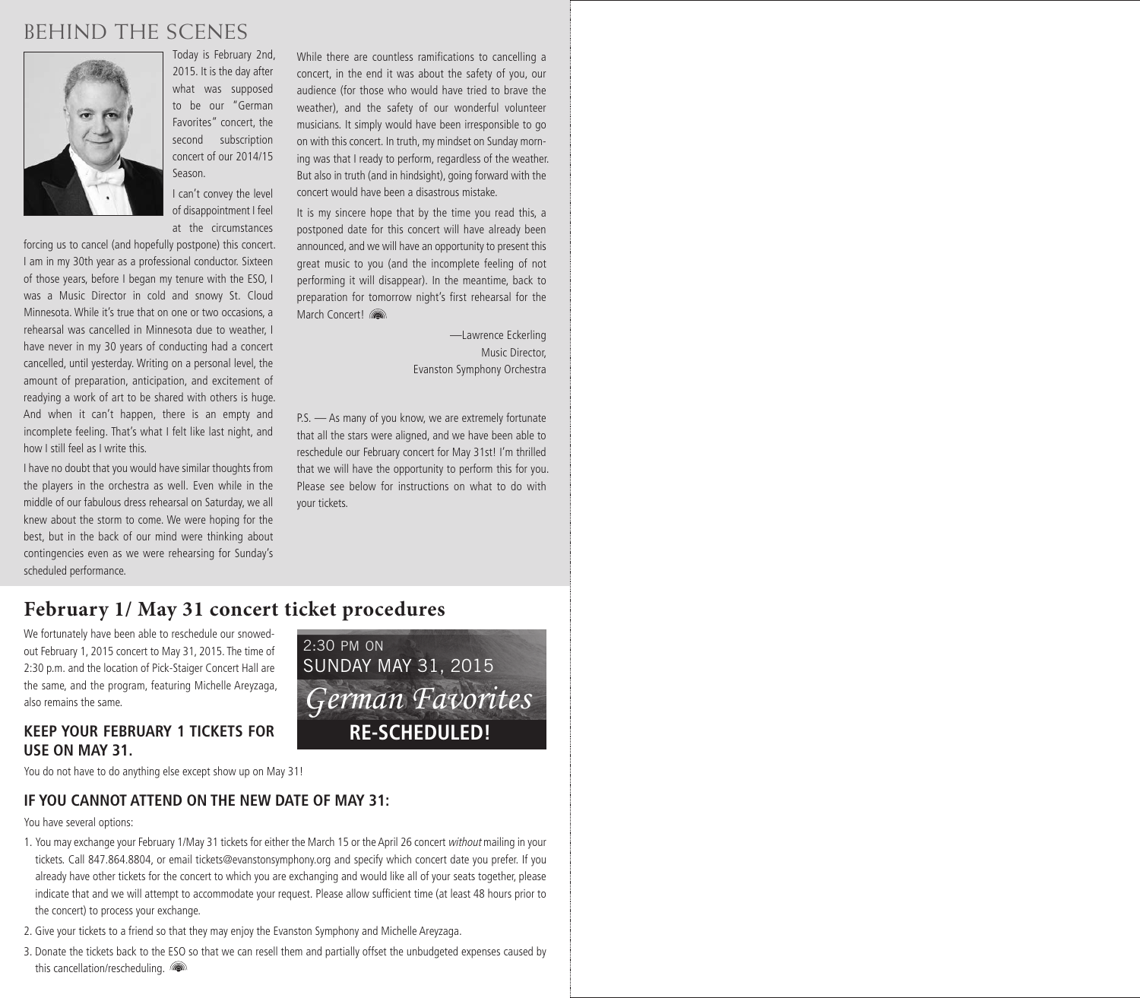## BEHIND THE SCENES



Today is February 2nd, 2015. It is the day after what was supposed to be our "German Favorites" concert, the second subscription concert of our 2014/15 Season.

I can't convey the level of disappointment I feel at the circumstances

forcing us to cancel (and hopefully postpone) this concert. I am in my 30th year as a professional conductor. Sixteen of those years, before I began my tenure with the ESO, I was a Music Director in cold and snowy St. Cloud Minnesota. While it's true that on one or two occasions, a rehearsal was cancelled in Minnesota due to weather, I have never in my 30 years of conducting had a concert cancelled, until yesterday. Writing on a personal level, the amount of preparation, anticipation, and excitement of readying a work of art to be shared with others is huge. And when it can't happen, there is an empty and incomplete feeling. That's what I felt like last night, and how I still feel as I write this.

I have no doubt that you would have similar thoughts from the players in the orchestra as well. Even while in the middle of our fabulous dress rehearsal on Saturday, we all knew about the storm to come. We were hoping for the best, but in the back of our mind were thinking about contingencies even as we were rehearsing for Sunday's scheduled performance.

While there are countless ramifications to cancelling a concert, in the end it was about the safety of you, our audience (for those who would have tried to brave the weather), and the safety of our wonderful volunteer musicians. It simply would have been irresponsible to go on with this concert. In truth, my mindset on Sunday morning was that I ready to perform, regardless of the weather. But also in truth (and in hindsight), going forward with the concert would have been a disastrous mistake.

It is my sincere hope that by the time you read this, a postponed date for this concert will have already been announced, and we will have an opportunity to present this great music to you (and the incomplete feeling of not performing it will disappear). In the meantime, back to preparation for tomorrow night's first rehearsal for the March Concert!

> —Lawrence Eckerling Music Director, Evanston Symphony Orchestra

P.S. - As many of you know, we are extremely fortunate that all the stars were aligned, and we have been able to reschedule our February concert for May 31st! I'm thrilled that we will have the opportunity to perform this for you. Please see below for instructions on what to do with your tickets.

## **February 1/ May 31 concert ticket procedures**

We fortunately have been able to reschedule our snowedout February 1, 2015 concert to May 31, 2015. The time of 2:30 p.m. and the location of Pick-Staiger Concert Hall are the same, and the program, featuring Michelle Areyzaga, also remains the same.

#### **KEEP YOUR FEBRUARY 1 TICKETS FOR USE ON MAY 31.**



You do not have to do anything else except show up on May 31!

#### **IF YOU CANNOT ATTEND ON THE NEW DATE OF MAY 31:**

You have several options:

- 1. You may exchange your February 1/May 31 tickets for either the March 15 or the April 26 concert without mailing in your tickets. Call 847.864.8804, or email tickets@evanstonsymphony.org and specify which concert date you prefer. If you already have other tickets for the concert to which you are exchanging and would like all of your seats together, please indicate that and we will attempt to accommodate your request. Please allow sufficient time (at least 48 hours prior to the concert) to process your exchange.
- 2. Give your tickets to a friend so that they may enjoy the Evanston Symphony and Michelle Areyzaga.
- 3. Donate the tickets back to the ESO so that we can resell them and partially offset the unbudgeted expenses caused by this cancellation/rescheduling.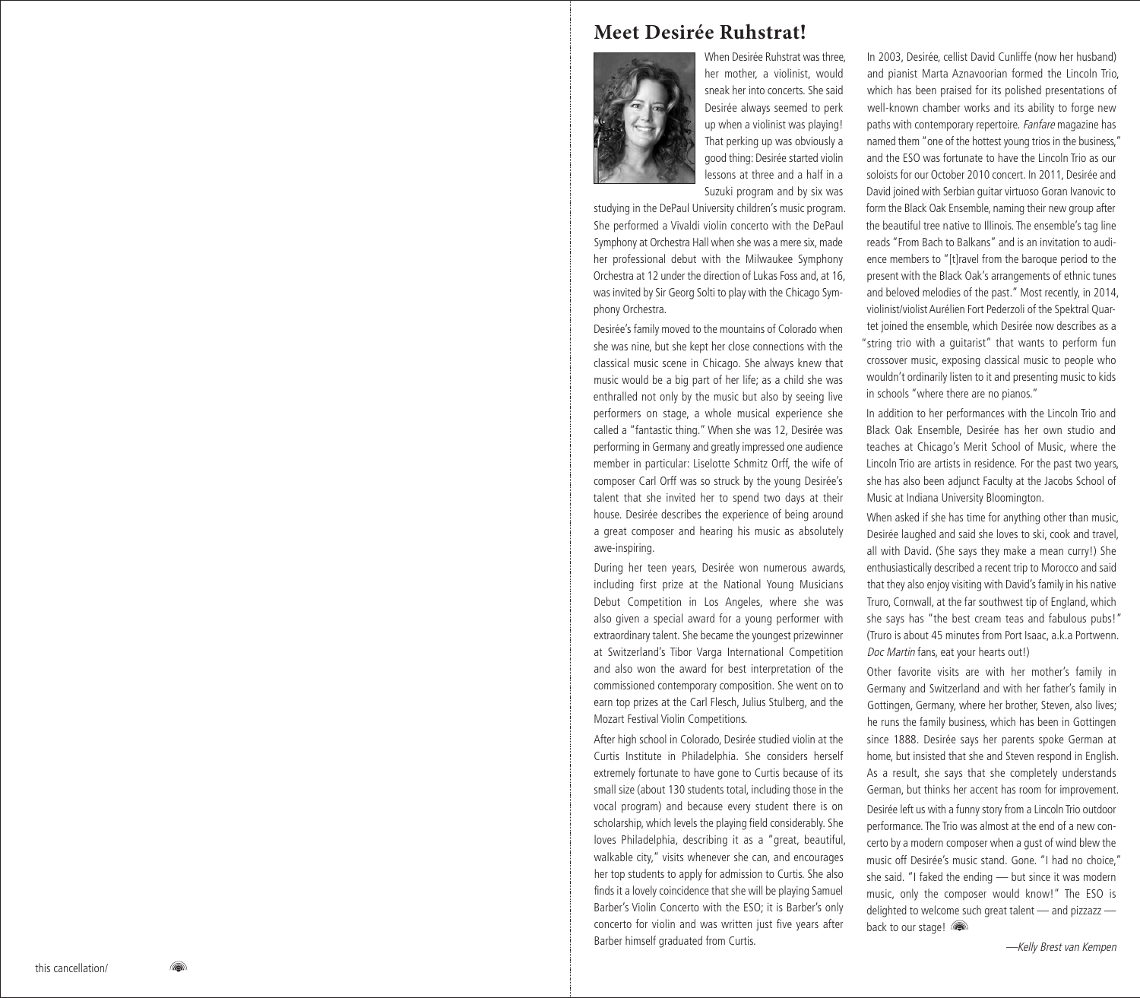## **Meet Desirée Ruhstrat!**



When Desirée Ruhstrat was three, her mother, a violinist, would sneak her into concerts. She said Desirée always seemed to perk up when a violinist was playing! That perking up was obviously a good thing: Desirée started violin lessons at three and a half in a Suzuki program and by six was

studying in the DePaul University children's music program. She performed a Vivaldi violin concerto with the DePaul Symphony at Orchestra Hall when she was a mere six, made her professional debut with the Milwaukee Symphony Orchestra at 12 under the direction of Lukas Foss and, at 16, was invited by Sir Georg Solti to play with the Chicago Symphony Orchestra.

Desirée's family moved to the mountains of Colorado when she was nine, but she kept her close connections with the classical music scene in Chicago. She always knew that music would be a big part of her life; as a child she was enthralled not only by the music but also by seeing live performers on stage, a whole musical experience she called a "fantastic thing." When she was 12, Desirée was performing in Germany and greatly impressed one audience member in particular: Liselotte Schmitz Orff, the wife of composer Carl Orff was so struck by the young Desirée's talent that she invited her to spend two days at their house. Desirée describes the experience of being around a great composer and hearing his music as absolutely awe-inspiring.

During her teen years, Desirée won numerous awards, including first prize at the National Young Musicians Debut Competition in Los Angeles, where she was also given a special award for a young performer with extraordinary talent. She became the youngest prizewinner at Switzerland's Tibor Varga International Competition and also won the award for best interpretation of the commissioned contemporary composition. She went on to earn top prizes at the Carl Flesch, Julius Stulberg, and the Mozart Festival Violin Competitions.

After high school in Colorado, Desirée studied violin at the Curtis Institute in Philadelphia. She considers herself extremely fortunate to have gone to Curtis because of its small size (about 130 students total, including those in the vocal program) and because every student there is on scholarship, which levels the playing field considerably. She loves Philadelphia, describing it as a "great, beautiful, walkable city," visits whenever she can, and encourages her top students to apply for admission to Curtis. She also finds it a lovely coincidence that she will be playing Samuel Barber's Violin Concerto with the ESO; it is Barber's only concerto for violin and was written just five years after Barber himself graduated from Curtis.

In 2003, Desirée, cellist David Cunliffe (now her husband) and pianist Marta Aznavoorian formed the Lincoln Trio, which has been praised for its polished presentations of well-known chamber works and its ability to forge new paths with contemporary repertoire. Fanfare magazine has named them "one of the hottest young trios in the business," and the ESO was fortunate to have the Lincoln Trio as our soloists for our October 2010 concert. In 2011, Desirée and David joined with Serbian guitar virtuoso Goran Ivanovic to form the Black Oak Ensemble, naming their new group after the beautiful tree native to Illinois. The ensemble's tag line reads "From Bach to Balkans" and is an invitation to audience members to "[t]ravel from the baroque period to the present with the Black Oak's arrangements of ethnic tunes and beloved melodies of the past." Most recently, in 2014, violinist/violist Aurélien Fort Pederzoli of the Spektral Quartet joined the ensemble, which Desirée now describes as a "string trio with a guitarist" that wants to perform fun crossover music, exposing classical music to people who wouldn't ordinarily listen to it and presenting music to kids in schools "where there are no pianos."

In addition to her performances with the Lincoln Trio and Black Oak Ensemble, Desirée has her own studio and teaches at Chicago's Merit School of Music, where the Lincoln Trio are artists in residence. For the past two years, she has also been adjunct Faculty at the Jacobs School of Music at Indiana University Bloomington.

When asked if she has time for anything other than music, Desirée laughed and said she loves to ski, cook and travel, all with David. (She says they make a mean curry!) She enthusiastically described a recent trip to Morocco and said that they also enjoy visiting with David's family in his native Truro, Cornwall, at the far southwest tip of England, which she says has "the best cream teas and fabulous pubs!" (Truro is about 45 minutes from Port Isaac, a.k.a Portwenn. Doc Martin fans, eat your hearts out!)

Other favorite visits are with her mother's family in Germany and Switzerland and with her father's family in Gottingen, Germany, where her brother, Steven, also lives; he runs the family business, which has been in Gottingen since 1888. Desirée says her parents spoke German at home, but insisted that she and Steven respond in English. As a result, she says that she completely understands German, but thinks her accent has room for improvement. Desirée left us with a funny story from a Lincoln Trio outdoor performance. The Trio was almost at the end of a new concerto by a modern composer when a gust of wind blew the music off Desirée's music stand. Gone. "I had no choice," she said. "I faked the ending — but since it was modern music, only the composer would know!" The ESO is delighted to welcome such great talent — and pizzazz back to our stage!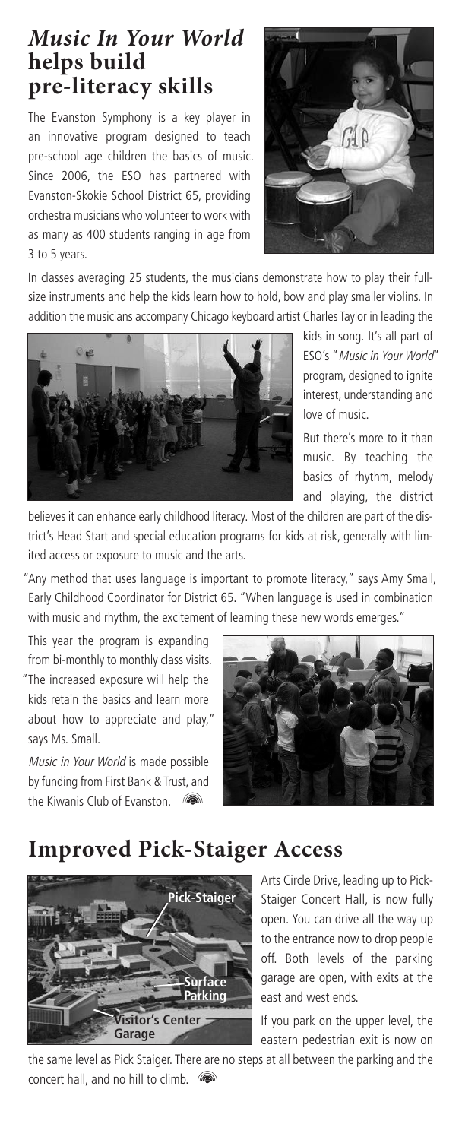## *Music In Your World* **helps build pre-literacy skills**

The Evanston Symphony is a key player in an innovative program designed to teach pre-school age children the basics of music. Since 2006, the ESO has partnered with Evanston-Skokie School District 65, providing orchestra musicians who volunteer to work with as many as 400 students ranging in age from 3 to 5 years.



In classes averaging 25 students, the musicians demonstrate how to play their fullsize instruments and help the kids learn how to hold, bow and play smaller violins. In addition the musicians accompany Chicago keyboard artist Charles Taylor in leading the



kids in song. It's all part of ESO's "Music in Your World" program, designed to ignite interest, understanding and love of music.

But there's more to it than music. By teaching the basics of rhythm, melody and playing, the district

believes it can enhance early childhood literacy. Most of the children are part of the district's Head Start and special education programs for kids at risk, generally with limited access or exposure to music and the arts.

"Any method that uses language is important to promote literacy," says Amy Small, Early Childhood Coordinator for District 65. "When language is used in combination with music and rhythm, the excitement of learning these new words emerges."

This year the program is expanding from bi-monthly to monthly class visits. "The increased exposure will help the kids retain the basics and learn more about how to appreciate and play,"

Music in Your World is made possible by funding from First Bank & Trust, and the Kiwanis Club of Evanston. (

says Ms. Small.



## **Improved Pick-Staiger Access**



Arts Circle Drive, leading up to Pick-Staiger Concert Hall, is now fully open. You can drive all the way up to the entrance now to drop people off. Both levels of the parking garage are open, with exits at the east and west ends.

If you park on the upper level, the eastern pedestrian exit is now on

the same level as Pick Staiger. There are no steps at all between the parking and the concert hall, and no hill to climb.